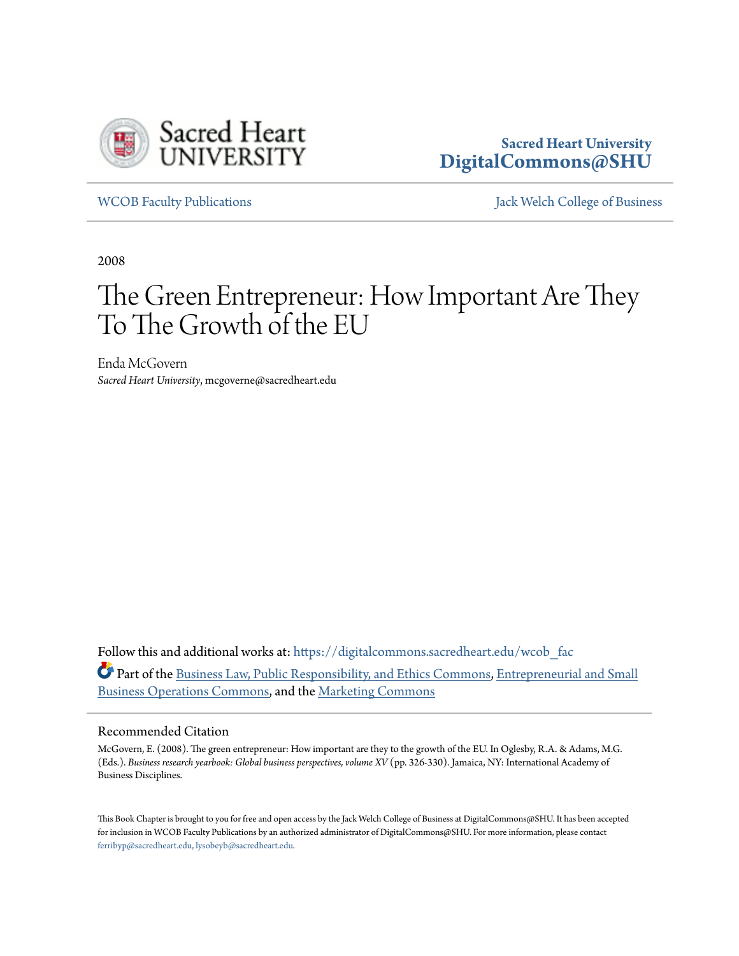

# **Sacred Heart University [DigitalCommons@SHU](https://digitalcommons.sacredheart.edu?utm_source=digitalcommons.sacredheart.edu%2Fwcob_fac%2F493&utm_medium=PDF&utm_campaign=PDFCoverPages)**

[WCOB Faculty Publications](https://digitalcommons.sacredheart.edu/wcob_fac?utm_source=digitalcommons.sacredheart.edu%2Fwcob_fac%2F493&utm_medium=PDF&utm_campaign=PDFCoverPages) [Jack Welch College of Business](https://digitalcommons.sacredheart.edu/wcob?utm_source=digitalcommons.sacredheart.edu%2Fwcob_fac%2F493&utm_medium=PDF&utm_campaign=PDFCoverPages)

2008

# The Green Entrepreneur: How Important Are They To The Growth of the EU

Enda McGovern *Sacred Heart University*, mcgoverne@sacredheart.edu

Follow this and additional works at: [https://digitalcommons.sacredheart.edu/wcob\\_fac](https://digitalcommons.sacredheart.edu/wcob_fac?utm_source=digitalcommons.sacredheart.edu%2Fwcob_fac%2F493&utm_medium=PDF&utm_campaign=PDFCoverPages) Part of the [Business Law, Public Responsibility, and Ethics Commons,](http://network.bepress.com/hgg/discipline/628?utm_source=digitalcommons.sacredheart.edu%2Fwcob_fac%2F493&utm_medium=PDF&utm_campaign=PDFCoverPages) [Entrepreneurial and Small](http://network.bepress.com/hgg/discipline/630?utm_source=digitalcommons.sacredheart.edu%2Fwcob_fac%2F493&utm_medium=PDF&utm_campaign=PDFCoverPages) [Business Operations Commons](http://network.bepress.com/hgg/discipline/630?utm_source=digitalcommons.sacredheart.edu%2Fwcob_fac%2F493&utm_medium=PDF&utm_campaign=PDFCoverPages), and the [Marketing Commons](http://network.bepress.com/hgg/discipline/638?utm_source=digitalcommons.sacredheart.edu%2Fwcob_fac%2F493&utm_medium=PDF&utm_campaign=PDFCoverPages)

#### Recommended Citation

McGovern, E. (2008). The green entrepreneur: How important are they to the growth of the EU. In Oglesby, R.A. & Adams, M.G. (Eds.). *Business research yearbook: Global business perspectives, volume XV* (pp. 326-330). Jamaica, NY: International Academy of Business Disciplines.

This Book Chapter is brought to you for free and open access by the Jack Welch College of Business at DigitalCommons@SHU. It has been accepted for inclusion in WCOB Faculty Publications by an authorized administrator of DigitalCommons@SHU. For more information, please contact [ferribyp@sacredheart.edu, lysobeyb@sacredheart.edu.](mailto:ferribyp@sacredheart.edu,%20lysobeyb@sacredheart.edu)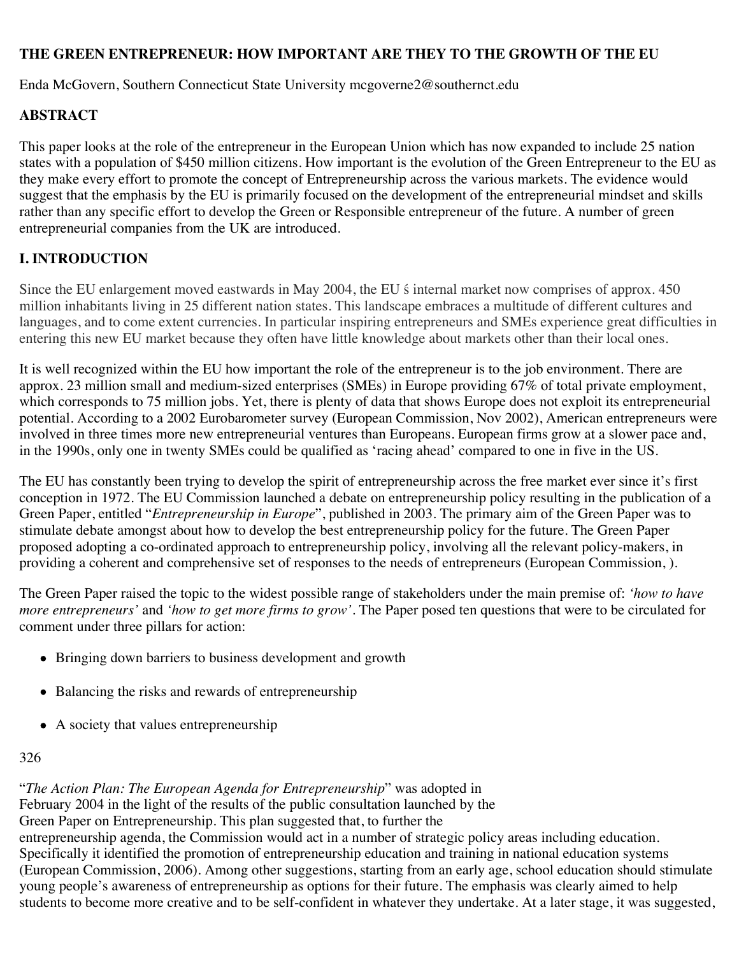#### **THE GREEN ENTREPRENEUR: HOW IMPORTANT ARE THEY TO THE GROWTH OF THE EU**

Enda McGovern, Southern Connecticut State University mcgoverne2@southernct.edu

#### **ABSTRACT**

This paper looks at the role of the entrepreneur in the European Union which has now expanded to include 25 nation states with a population of \$450 million citizens. How important is the evolution of the Green Entrepreneur to the EU as they make every effort to promote the concept of Entrepreneurship across the various markets. The evidence would suggest that the emphasis by the EU is primarily focused on the development of the entrepreneurial mindset and skills rather than any specific effort to develop the Green or Responsible entrepreneur of the future. A number of green entrepreneurial companies from the UK are introduced.

## **I. INTRODUCTION**

Since the EU enlargement moved eastwards in May 2004, the EU ́s internal market now comprises of approx. 450 million inhabitants living in 25 different nation states. This landscape embraces a multitude of different cultures and languages, and to come extent currencies. In particular inspiring entrepreneurs and SMEs experience great difficulties in entering this new EU market because they often have little knowledge about markets other than their local ones.

It is well recognized within the EU how important the role of the entrepreneur is to the job environment. There are approx. 23 million small and medium-sized enterprises (SMEs) in Europe providing 67% of total private employment, which corresponds to 75 million jobs. Yet, there is plenty of data that shows Europe does not exploit its entrepreneurial potential. According to a 2002 Eurobarometer survey (European Commission, Nov 2002), American entrepreneurs were involved in three times more new entrepreneurial ventures than Europeans. European firms grow at a slower pace and, in the 1990s, only one in twenty SMEs could be qualified as 'racing ahead' compared to one in five in the US.

The EU has constantly been trying to develop the spirit of entrepreneurship across the free market ever since it's first conception in 1972. The EU Commission launched a debate on entrepreneurship policy resulting in the publication of a Green Paper, entitled "*Entrepreneurship in Europe*", published in 2003. The primary aim of the Green Paper was to stimulate debate amongst about how to develop the best entrepreneurship policy for the future. The Green Paper proposed adopting a co-ordinated approach to entrepreneurship policy, involving all the relevant policy-makers, in providing a coherent and comprehensive set of responses to the needs of entrepreneurs (European Commission, ).

The Green Paper raised the topic to the widest possible range of stakeholders under the main premise of: *'how to have more entrepreneurs'* and *'how to get more firms to grow'*. The Paper posed ten questions that were to be circulated for comment under three pillars for action:

- Bringing down barriers to business development and growth
- Balancing the risks and rewards of entrepreneurship
- A society that values entrepreneurship

#### 326

"*The Action Plan: The European Agenda for Entrepreneurship*" was adopted in February 2004 in the light of the results of the public consultation launched by the Green Paper on Entrepreneurship. This plan suggested that, to further the entrepreneurship agenda, the Commission would act in a number of strategic policy areas including education. Specifically it identified the promotion of entrepreneurship education and training in national education systems (European Commission, 2006). Among other suggestions, starting from an early age, school education should stimulate young people's awareness of entrepreneurship as options for their future. The emphasis was clearly aimed to help students to become more creative and to be self-confident in whatever they undertake. At a later stage, it was suggested,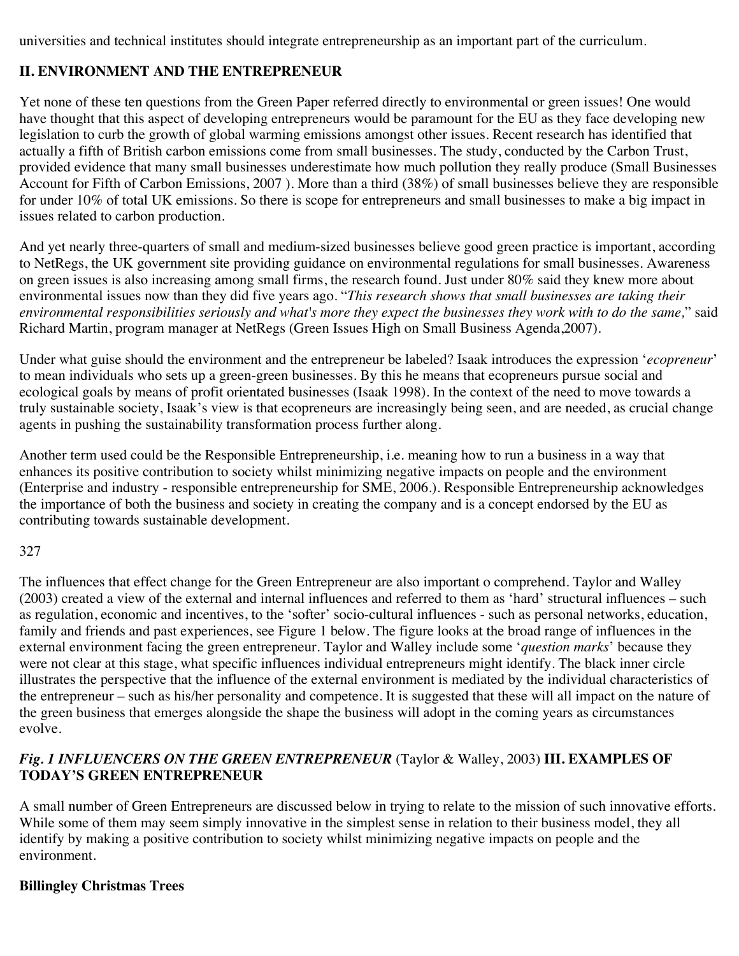universities and technical institutes should integrate entrepreneurship as an important part of the curriculum.

#### **II. ENVIRONMENT AND THE ENTREPRENEUR**

Yet none of these ten questions from the Green Paper referred directly to environmental or green issues! One would have thought that this aspect of developing entrepreneurs would be paramount for the EU as they face developing new legislation to curb the growth of global warming emissions amongst other issues. Recent research has identified that actually a fifth of British carbon emissions come from small businesses. The study, conducted by the Carbon Trust, provided evidence that many small businesses underestimate how much pollution they really produce (Small Businesses Account for Fifth of Carbon Emissions, 2007 ). More than a third (38%) of small businesses believe they are responsible for under 10% of total UK emissions. So there is scope for entrepreneurs and small businesses to make a big impact in issues related to carbon production.

And yet nearly three-quarters of small and medium-sized businesses believe good green practice is important, according to NetRegs, the UK government site providing guidance on environmental regulations for small businesses. Awareness on green issues is also increasing among small firms, the research found. Just under 80% said they knew more about environmental issues now than they did five years ago. "*This research shows that small businesses are taking their environmental responsibilities seriously and what's more they expect the businesses they work with to do the same,*" said Richard Martin, program manager at NetRegs (Green Issues High on Small Business Agenda,2007).

Under what guise should the environment and the entrepreneur be labeled? Isaak introduces the expression '*ecopreneur*' to mean individuals who sets up a green-green businesses. By this he means that ecopreneurs pursue social and ecological goals by means of profit orientated businesses (Isaak 1998). In the context of the need to move towards a truly sustainable society, Isaak's view is that ecopreneurs are increasingly being seen, and are needed, as crucial change agents in pushing the sustainability transformation process further along.

Another term used could be the Responsible Entrepreneurship, i.e. meaning how to run a business in a way that enhances its positive contribution to society whilst minimizing negative impacts on people and the environment (Enterprise and industry - responsible entrepreneurship for SME, 2006.). Responsible Entrepreneurship acknowledges the importance of both the business and society in creating the company and is a concept endorsed by the EU as contributing towards sustainable development.

#### 327

The influences that effect change for the Green Entrepreneur are also important o comprehend. Taylor and Walley (2003) created a view of the external and internal influences and referred to them as 'hard' structural influences – such as regulation, economic and incentives, to the 'softer' socio-cultural influences - such as personal networks, education, family and friends and past experiences, see Figure 1 below. The figure looks at the broad range of influences in the external environment facing the green entrepreneur. Taylor and Walley include some '*question marks*' because they were not clear at this stage, what specific influences individual entrepreneurs might identify. The black inner circle illustrates the perspective that the influence of the external environment is mediated by the individual characteristics of the entrepreneur – such as his/her personality and competence. It is suggested that these will all impact on the nature of the green business that emerges alongside the shape the business will adopt in the coming years as circumstances evolve.

#### *Fig. 1 INFLUENCERS ON THE GREEN ENTREPRENEUR* (Taylor & Walley, 2003) **III. EXAMPLES OF TODAY'S GREEN ENTREPRENEUR**

A small number of Green Entrepreneurs are discussed below in trying to relate to the mission of such innovative efforts. While some of them may seem simply innovative in the simplest sense in relation to their business model, they all identify by making a positive contribution to society whilst minimizing negative impacts on people and the environment.

#### **Billingley Christmas Trees**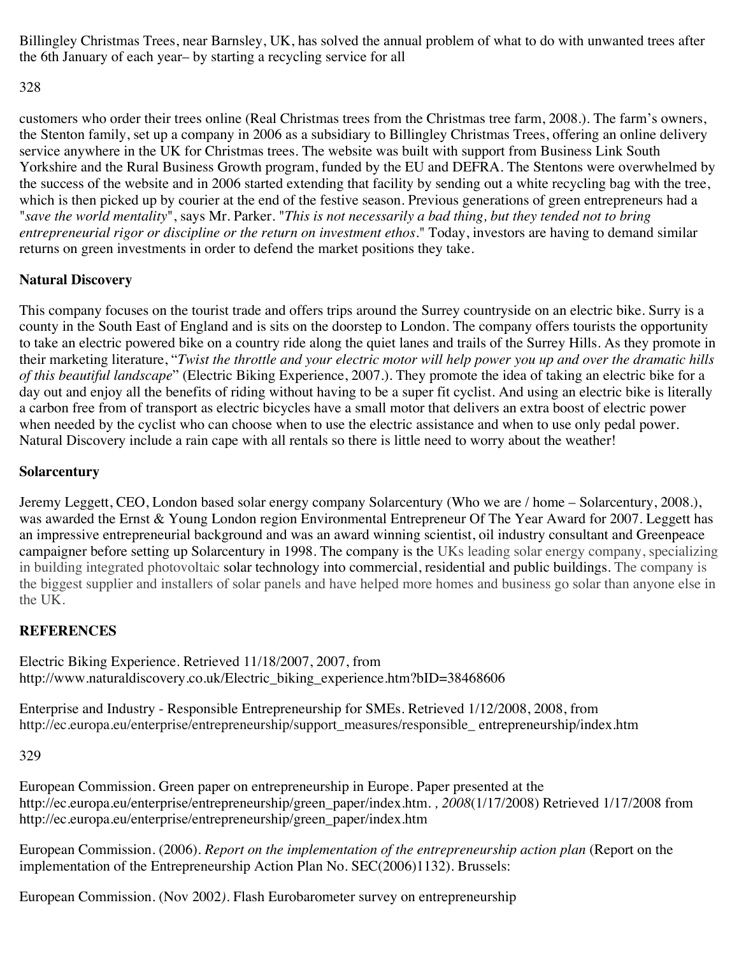Billingley Christmas Trees, near Barnsley, UK, has solved the annual problem of what to do with unwanted trees after the 6th January of each year– by starting a recycling service for all

328

customers who order their trees online (Real Christmas trees from the Christmas tree farm, 2008*.*). The farm's owners, the Stenton family, set up a company in 2006 as a subsidiary to Billingley Christmas Trees, offering an online delivery service anywhere in the UK for Christmas trees. The website was built with support from Business Link South Yorkshire and the Rural Business Growth program, funded by the EU and DEFRA. The Stentons were overwhelmed by the success of the website and in 2006 started extending that facility by sending out a white recycling bag with the tree, which is then picked up by courier at the end of the festive season. Previous generations of green entrepreneurs had a "*save the world mentality*", says Mr. Parker. "*This is not necessarily a bad thing, but they tended not to bring entrepreneurial rigor or discipline or the return on investment ethos*." Today, investors are having to demand similar returns on green investments in order to defend the market positions they take.

## **Natural Discovery**

This company focuses on the tourist trade and offers trips around the Surrey countryside on an electric bike. Surry is a county in the South East of England and is sits on the doorstep to London. The company offers tourists the opportunity to take an electric powered bike on a country ride along the quiet lanes and trails of the Surrey Hills. As they promote in their marketing literature, "*Twist the throttle and your electric motor will help power you up and over the dramatic hills of this beautiful landscape*" (Electric Biking Experience, 2007*.*). They promote the idea of taking an electric bike for a day out and enjoy all the benefits of riding without having to be a super fit cyclist. And using an electric bike is literally a carbon free from of transport as electric bicycles have a small motor that delivers an extra boost of electric power when needed by the cyclist who can choose when to use the electric assistance and when to use only pedal power. Natural Discovery include a rain cape with all rentals so there is little need to worry about the weather!

# **Solarcentury**

Jeremy Leggett, CEO, London based solar energy company Solarcentury (Who we are / home – Solarcentury, 2008*.*), was awarded the Ernst & Young London region Environmental Entrepreneur Of The Year Award for 2007. Leggett has an impressive entrepreneurial background and was an award winning scientist, oil industry consultant and Greenpeace campaigner before setting up Solarcentury in 1998. The company is the UKs leading solar energy company, specializing in building integrated photovoltaic solar technology into commercial, residential and public buildings. The company is the biggest supplier and installers of solar panels and have helped more homes and business go solar than anyone else in the UK.

## **REFERENCES**

Electric Biking Experience*.* Retrieved 11/18/2007, 2007, from http://www.naturaldiscovery.co.uk/Electric\_biking\_experience.htm?bID=38468606

Enterprise and Industry - Responsible Entrepreneurship for SMEs*.* Retrieved 1/12/2008, 2008, from http://ec.europa.eu/enterprise/entrepreneurship/support\_measures/responsible\_ entrepreneurship/index.htm

329

European Commission. Green paper on entrepreneurship in Europe. Paper presented at the http://ec.europa.eu/enterprise/entrepreneurship/green\_paper/index.htm. *, 2008*(1/17/2008) Retrieved 1/17/2008 from http://ec.europa.eu/enterprise/entrepreneurship/green\_paper/index.htm

European Commission. (2006). *Report on the implementation of the entrepreneurship action plan* (Report on the implementation of the Entrepreneurship Action Plan No. SEC(2006)1132). Brussels:

European Commission. (Nov 2002*).* Flash Eurobarometer survey on entrepreneurship